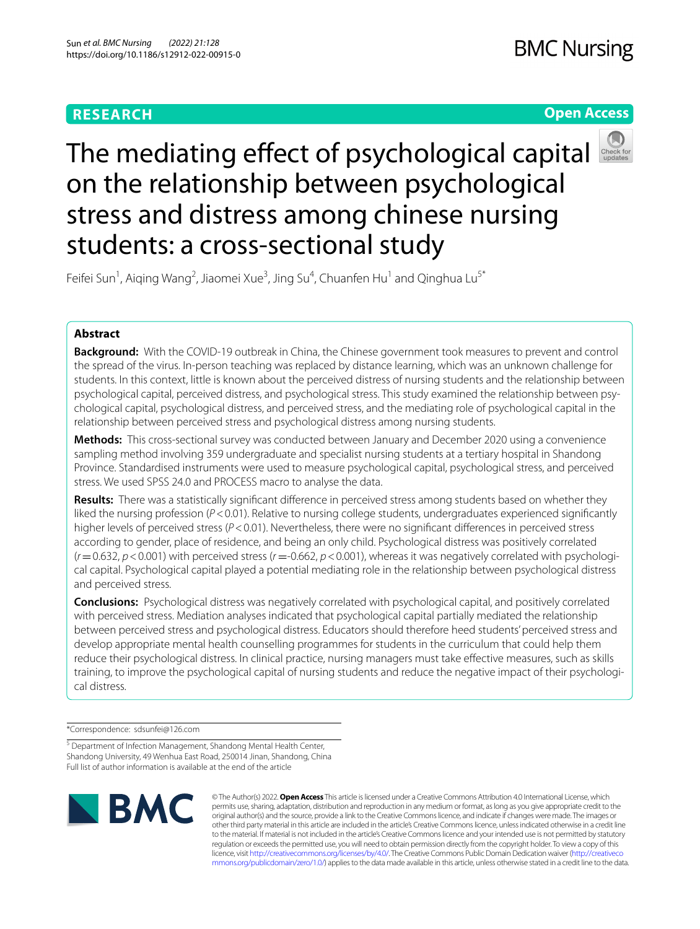## **RESEARCH**

## **Open Access**



# Themediating effect of psychological capital on the relationship between psychological stress and distress among chinese nursing students: a cross-sectional study

Feifei Sun<sup>1</sup>, Aiqing Wang<sup>2</sup>, Jiaomei Xue<sup>3</sup>, Jing Su<sup>4</sup>, Chuanfen Hu<sup>1</sup> and Qinghua Lu<sup>5\*</sup>

## **Abstract**

**Background:** With the COVID-19 outbreak in China, the Chinese government took measures to prevent and control the spread of the virus. In-person teaching was replaced by distance learning, which was an unknown challenge for students. In this context, little is known about the perceived distress of nursing students and the relationship between psychological capital, perceived distress, and psychological stress. This study examined the relationship between psychological capital, psychological distress, and perceived stress, and the mediating role of psychological capital in the relationship between perceived stress and psychological distress among nursing students.

**Methods:** This cross-sectional survey was conducted between January and December 2020 using a convenience sampling method involving 359 undergraduate and specialist nursing students at a tertiary hospital in Shandong Province. Standardised instruments were used to measure psychological capital, psychological stress, and perceived stress. We used SPSS 24.0 and PROCESS macro to analyse the data.

**Results:** There was a statistically signifcant diference in perceived stress among students based on whether they liked the nursing profession ( $P < 0.01$ ). Relative to nursing college students, undergraduates experienced significantly higher levels of perceived stress (*P*<0.01). Nevertheless, there were no significant differences in perceived stress according to gender, place of residence, and being an only child. Psychological distress was positively correlated  $(r=0.632, p<0.001)$  with perceived stress  $(r=0.662, p<0.001)$ , whereas it was negatively correlated with psychological capital. Psychological capital played a potential mediating role in the relationship between psychological distress and perceived stress.

**Conclusions:** Psychological distress was negatively correlated with psychological capital, and positively correlated with perceived stress. Mediation analyses indicated that psychological capital partially mediated the relationship between perceived stress and psychological distress. Educators should therefore heed students' perceived stress and develop appropriate mental health counselling programmes for students in the curriculum that could help them reduce their psychological distress. In clinical practice, nursing managers must take efective measures, such as skills training, to improve the psychological capital of nursing students and reduce the negative impact of their psychological distress.

\*Correspondence: sdsunfei@126.com

<sup>&</sup>lt;sup>5</sup> Department of Infection Management, Shandong Mental Health Center, Shandong University, 49 Wenhua East Road, 250014 Jinan, Shandong, China Full list of author information is available at the end of the article



© The Author(s) 2022. **Open Access** This article is licensed under a Creative Commons Attribution 4.0 International License, which permits use, sharing, adaptation, distribution and reproduction in any medium or format, as long as you give appropriate credit to the original author(s) and the source, provide a link to the Creative Commons licence, and indicate if changes were made. The images or other third party material in this article are included in the article's Creative Commons licence, unless indicated otherwise in a credit line to the material. If material is not included in the article's Creative Commons licence and your intended use is not permitted by statutory regulation or exceeds the permitted use, you will need to obtain permission directly from the copyright holder. To view a copy of this licence, visit [http://creativecommons.org/licenses/by/4.0/.](http://creativecommons.org/licenses/by/4.0/) The Creative Commons Public Domain Dedication waiver ([http://creativeco](http://creativecommons.org/publicdomain/zero/1.0/) [mmons.org/publicdomain/zero/1.0/](http://creativecommons.org/publicdomain/zero/1.0/)) applies to the data made available in this article, unless otherwise stated in a credit line to the data.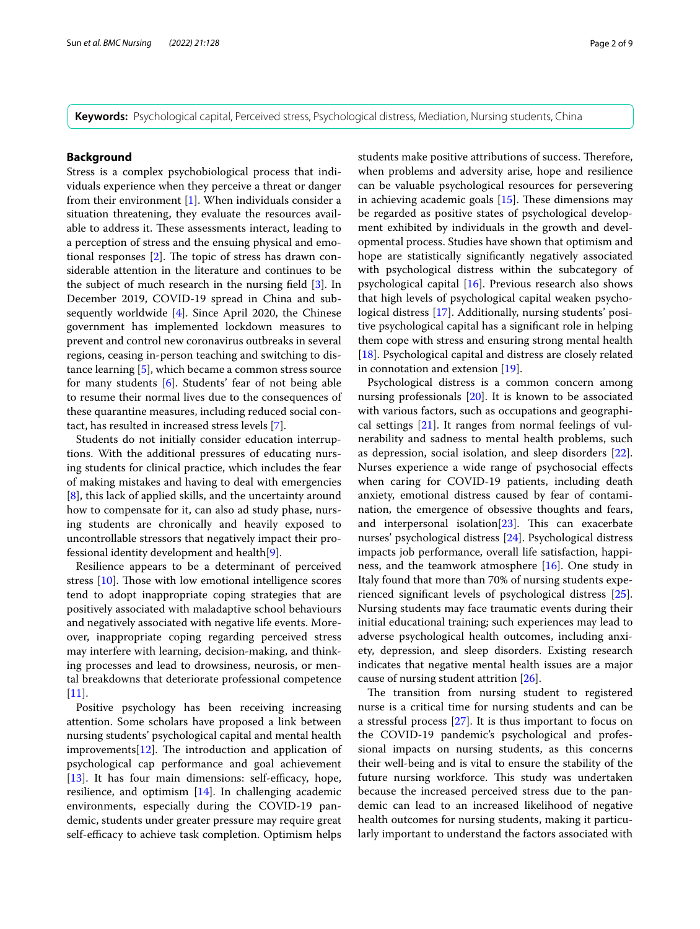**Keywords:** Psychological capital, Perceived stress, Psychological distress, Mediation, Nursing students, China

#### **Background**

Stress is a complex psychobiological process that individuals experience when they perceive a threat or danger from their environment  $[1]$  $[1]$ . When individuals consider a situation threatening, they evaluate the resources available to address it. These assessments interact, leading to a perception of stress and the ensuing physical and emotional responses  $[2]$  $[2]$  $[2]$ . The topic of stress has drawn considerable attention in the literature and continues to be the subject of much research in the nursing feld [\[3](#page-7-2)]. In December 2019, COVID-19 spread in China and subsequently worldwide [[4\]](#page-7-3). Since April 2020, the Chinese government has implemented lockdown measures to prevent and control new coronavirus outbreaks in several regions, ceasing in-person teaching and switching to distance learning [[5\]](#page-7-4), which became a common stress source for many students [\[6](#page-7-5)]. Students' fear of not being able to resume their normal lives due to the consequences of these quarantine measures, including reduced social contact, has resulted in increased stress levels [\[7](#page-7-6)].

Students do not initially consider education interruptions. With the additional pressures of educating nursing students for clinical practice, which includes the fear of making mistakes and having to deal with emergencies [[8\]](#page-7-7), this lack of applied skills, and the uncertainty around how to compensate for it, can also ad study phase, nursing students are chronically and heavily exposed to uncontrollable stressors that negatively impact their professional identity development and health[[9](#page-7-8)].

Resilience appears to be a determinant of perceived stress  $[10]$  $[10]$ . Those with low emotional intelligence scores tend to adopt inappropriate coping strategies that are positively associated with maladaptive school behaviours and negatively associated with negative life events. Moreover, inappropriate coping regarding perceived stress may interfere with learning, decision-making, and thinking processes and lead to drowsiness, neurosis, or mental breakdowns that deteriorate professional competence  $[11]$  $[11]$ .

Positive psychology has been receiving increasing attention. Some scholars have proposed a link between nursing students' psychological capital and mental health  $improvements[12]$  $improvements[12]$ . The introduction and application of psychological cap performance and goal achievement  $[13]$  $[13]$ . It has four main dimensions: self-efficacy, hope, resilience, and optimism [\[14\]](#page-7-13). In challenging academic environments, especially during the COVID-19 pandemic, students under greater pressure may require great self-efficacy to achieve task completion. Optimism helps students make positive attributions of success. Therefore, when problems and adversity arise, hope and resilience can be valuable psychological resources for persevering in achieving academic goals  $[15]$  $[15]$ . These dimensions may be regarded as positive states of psychological development exhibited by individuals in the growth and developmental process. Studies have shown that optimism and hope are statistically signifcantly negatively associated with psychological distress within the subcategory of psychological capital [[16](#page-7-15)]. Previous research also shows that high levels of psychological capital weaken psycho-logical distress [\[17](#page-7-16)]. Additionally, nursing students' positive psychological capital has a signifcant role in helping them cope with stress and ensuring strong mental health [[18\]](#page-7-17). Psychological capital and distress are closely related in connotation and extension [\[19](#page-7-18)].

Psychological distress is a common concern among nursing professionals [[20\]](#page-7-19). It is known to be associated with various factors, such as occupations and geographical settings [[21](#page-7-20)]. It ranges from normal feelings of vulnerability and sadness to mental health problems, such as depression, social isolation, and sleep disorders [\[22](#page-7-21)]. Nurses experience a wide range of psychosocial efects when caring for COVID-19 patients, including death anxiety, emotional distress caused by fear of contamination, the emergence of obsessive thoughts and fears, and interpersonal isolation $[23]$  $[23]$ . This can exacerbate nurses' psychological distress [\[24](#page-7-23)]. Psychological distress impacts job performance, overall life satisfaction, happiness, and the teamwork atmosphere [\[16](#page-7-15)]. One study in Italy found that more than 70% of nursing students experienced signifcant levels of psychological distress [\[25](#page-7-24)]. Nursing students may face traumatic events during their initial educational training; such experiences may lead to adverse psychological health outcomes, including anxiety, depression, and sleep disorders. Existing research indicates that negative mental health issues are a major cause of nursing student attrition [[26](#page-7-25)].

The transition from nursing student to registered nurse is a critical time for nursing students and can be a stressful process [[27\]](#page-7-26). It is thus important to focus on the COVID-19 pandemic's psychological and professional impacts on nursing students, as this concerns their well-being and is vital to ensure the stability of the future nursing workforce. This study was undertaken because the increased perceived stress due to the pandemic can lead to an increased likelihood of negative health outcomes for nursing students, making it particularly important to understand the factors associated with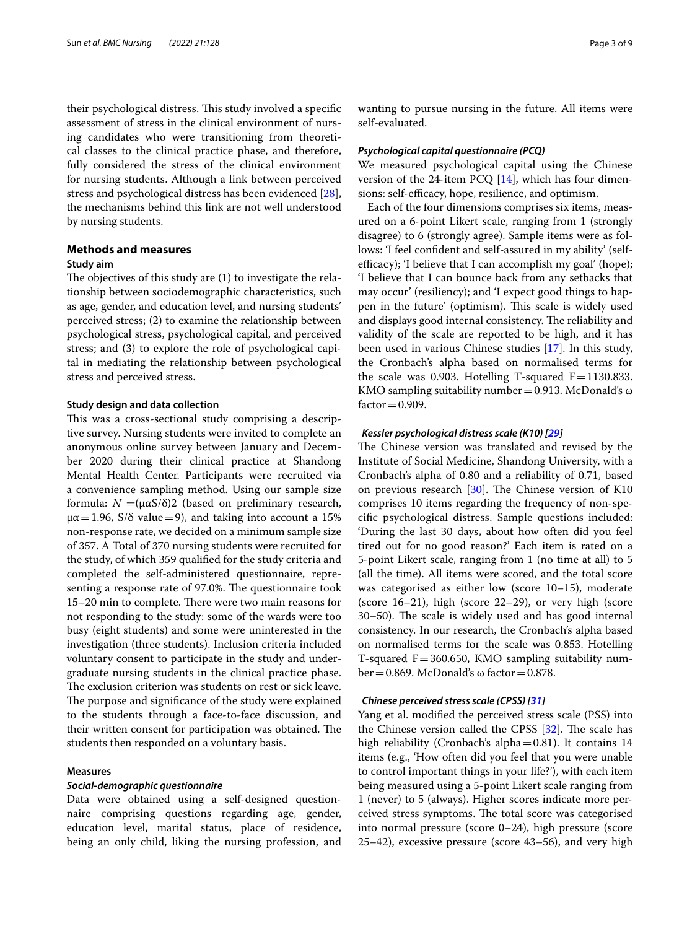their psychological distress. This study involved a specific assessment of stress in the clinical environment of nursing candidates who were transitioning from theoretical classes to the clinical practice phase, and therefore, fully considered the stress of the clinical environment for nursing students. Although a link between perceived stress and psychological distress has been evidenced [\[28](#page-7-27)], the mechanisms behind this link are not well understood by nursing students.

## **Methods and measures**

## **Study aim**

The objectives of this study are  $(1)$  to investigate the relationship between sociodemographic characteristics, such as age, gender, and education level, and nursing students' perceived stress; (2) to examine the relationship between psychological stress, psychological capital, and perceived stress; and (3) to explore the role of psychological capital in mediating the relationship between psychological stress and perceived stress.

#### **Study design and data collection**

This was a cross-sectional study comprising a descriptive survey. Nursing students were invited to complete an anonymous online survey between January and December 2020 during their clinical practice at Shandong Mental Health Center. Participants were recruited via a convenience sampling method. Using our sample size formula: *N*  =(µαS/δ)2 (based on preliminary research,  $\mu\alpha$  = 1.96, S/ $\delta$  value = 9), and taking into account a 15% non-response rate, we decided on a minimum sample size of 357. A Total of 370 nursing students were recruited for the study, of which 359 qualifed for the study criteria and completed the self-administered questionnaire, representing a response rate of 97.0%. The questionnaire took 15–20 min to complete. There were two main reasons for not responding to the study: some of the wards were too busy (eight students) and some were uninterested in the investigation (three students). Inclusion criteria included voluntary consent to participate in the study and undergraduate nursing students in the clinical practice phase. The exclusion criterion was students on rest or sick leave. The purpose and significance of the study were explained to the students through a face-to-face discussion, and their written consent for participation was obtained. The students then responded on a voluntary basis.

## **Measures**

## *Social‑demographic questionnaire*

Data were obtained using a self-designed questionnaire comprising questions regarding age, gender, education level, marital status, place of residence, being an only child, liking the nursing profession, and wanting to pursue nursing in the future. All items were self-evaluated.

#### *Psychological capital questionnaire (PCQ)*

We measured psychological capital using the Chinese version of the 24-item PCQ  $[14]$ , which has four dimensions: self-efficacy, hope, resilience, and optimism.

Each of the four dimensions comprises six items, measured on a 6-point Likert scale, ranging from 1 (strongly disagree) to 6 (strongly agree). Sample items were as follows: 'I feel confident and self-assured in my ability' (selfefficacy); 'I believe that I can accomplish my goal' (hope); 'I believe that I can bounce back from any setbacks that may occur' (resiliency); and 'I expect good things to happen in the future' (optimism). This scale is widely used and displays good internal consistency. The reliability and validity of the scale are reported to be high, and it has been used in various Chinese studies [[17\]](#page-7-16). In this study, the Cronbach's alpha based on normalised terms for the scale was 0.903. Hotelling T-squared  $F=1130.833$ . KMO sampling suitability number = 0.913. McDonald's  $\omega$  $factor = 0.909$ .

## *Kessler psychological distress scale (K10) [[29](#page-7-28)]*

The Chinese version was translated and revised by the Institute of Social Medicine, Shandong University, with a Cronbach's alpha of 0.80 and a reliability of 0.71, based on previous research  $[30]$  $[30]$ . The Chinese version of K10 comprises 10 items regarding the frequency of non-specifc psychological distress. Sample questions included: 'During the last 30 days, about how often did you feel tired out for no good reason?' Each item is rated on a 5-point Likert scale, ranging from 1 (no time at all) to 5 (all the time). All items were scored, and the total score was categorised as either low (score 10–15), moderate (score 16–21), high (score 22–29), or very high (score 30–50). The scale is widely used and has good internal consistency. In our research, the Cronbach's alpha based on normalised terms for the scale was 0.853. Hotelling T-squared  $F = 360.650$ , KMO sampling suitability number = 0.869. McDonald's  $\omega$  factor = 0.878.

#### *Chinese perceived stress scale (CPSS) [[31](#page-7-30)]*

Yang et al. modifed the perceived stress scale (PSS) into the Chinese version called the CPSS  $[32]$ . The scale has high reliability (Cronbach's alpha=0.81). It contains 14 items (e.g., 'How often did you feel that you were unable to control important things in your life?'), with each item being measured using a 5-point Likert scale ranging from 1 (never) to 5 (always). Higher scores indicate more perceived stress symptoms. The total score was categorised into normal pressure (score 0–24), high pressure (score 25–42), excessive pressure (score 43–56), and very high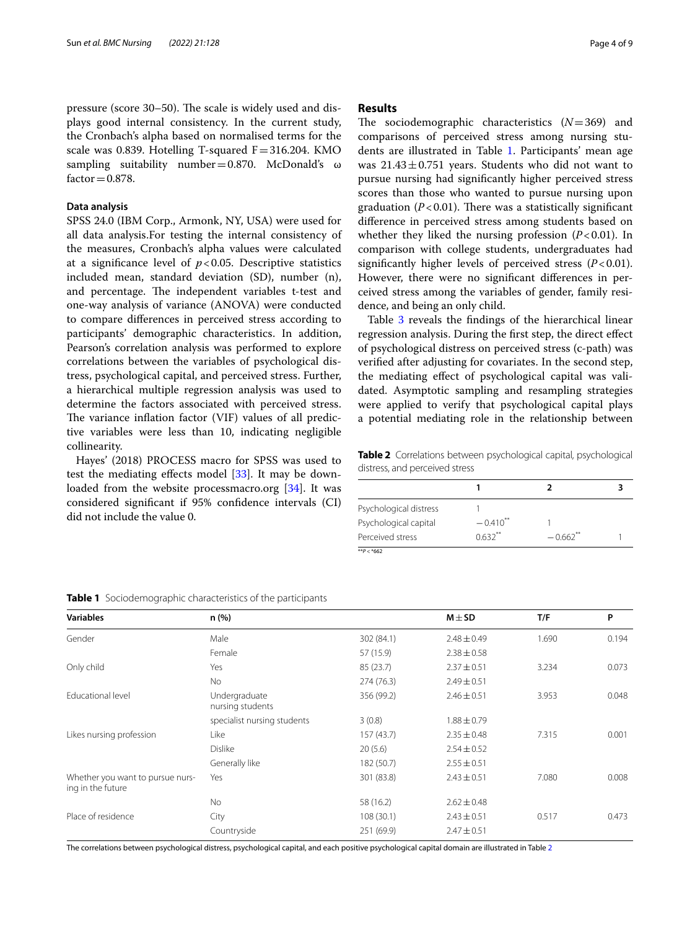pressure (score 30–50). The scale is widely used and displays good internal consistency. In the current study, the Cronbach's alpha based on normalised terms for the scale was 0.839. Hotelling T-squared  $F = 316.204$ . KMO sampling suitability number=0.870. McDonald's ω  $factor = 0.878$ .

## **Data analysis**

SPSS 24.0 (IBM Corp., Armonk, NY, USA) were used for all data analysis.For testing the internal consistency of the measures, Cronbach's alpha values were calculated at a significance level of  $p < 0.05$ . Descriptive statistics included mean, standard deviation (SD), number (n), and percentage. The independent variables t-test and one-way analysis of variance (ANOVA) were conducted to compare diferences in perceived stress according to participants' demographic characteristics. In addition, Pearson's correlation analysis was performed to explore correlations between the variables of psychological distress, psychological capital, and perceived stress. Further, a hierarchical multiple regression analysis was used to determine the factors associated with perceived stress. The variance inflation factor (VIF) values of all predictive variables were less than 10, indicating negligible collinearity.

Hayes' (2018) PROCESS macro for SPSS was used to test the mediating efects model [\[33](#page-7-32)]. It may be down-loaded from the website processmacro.org [[34\]](#page-7-33). It was considered signifcant if 95% confdence intervals (CI) did not include the value 0.

#### **Results**

The sociodemographic characteristics  $(N=369)$  and comparisons of perceived stress among nursing students are illustrated in Table [1.](#page-3-0) Participants' mean age was  $21.43 \pm 0.751$  years. Students who did not want to pursue nursing had signifcantly higher perceived stress scores than those who wanted to pursue nursing upon graduation  $(P<0.01)$ . There was a statistically significant diference in perceived stress among students based on whether they liked the nursing profession  $(P<0.01)$ . In comparison with college students, undergraduates had significantly higher levels of perceived stress  $(P<0.01)$ . However, there were no signifcant diferences in perceived stress among the variables of gender, family residence, and being an only child.

Table [3](#page-4-0) reveals the findings of the hierarchical linear regression analysis. During the frst step, the direct efect of psychological distress on perceived stress (c-path) was verifed after adjusting for covariates. In the second step, the mediating efect of psychological capital was validated. Asymptotic sampling and resampling strategies were applied to verify that psychological capital plays a potential mediating role in the relationship between

<span id="page-3-1"></span>**Table 2** Correlations between psychological capital, psychological distress, and perceived stress

| Psychological distress |               |                        |  |
|------------------------|---------------|------------------------|--|
| Psychological capital  | $-0.410^{**}$ |                        |  |
| Perceived stress       | $0.632**$     | $-0.662$ <sup>**</sup> |  |
| ** $P <$ *662          |               |                        |  |

| <b>Variables</b>                                      | n(%)                              |            | $M \pm SD$      | T/F   | P     |
|-------------------------------------------------------|-----------------------------------|------------|-----------------|-------|-------|
| Gender                                                | Male                              | 302 (84.1) | $2.48 \pm 0.49$ | 1.690 | 0.194 |
|                                                       | Female                            | 57 (15.9)  | $2.38 \pm 0.58$ |       |       |
| Only child                                            | Yes                               | 85 (23.7)  | $2.37 \pm 0.51$ | 3.234 | 0.073 |
|                                                       | <b>No</b>                         | 274(76.3)  | $2.49 \pm 0.51$ |       |       |
| <b>Educational level</b>                              | Undergraduate<br>nursing students | 356 (99.2) | $2.46 \pm 0.51$ | 3.953 | 0.048 |
|                                                       | specialist nursing students       | 3(0.8)     | $1.88 \pm 0.79$ |       |       |
| Likes nursing profession                              | Like                              | 157(43.7)  | $2.35 \pm 0.48$ | 7.315 | 0.001 |
|                                                       | <b>Dislike</b>                    | 20(5.6)    | $2.54 \pm 0.52$ |       |       |
|                                                       | Generally like                    | 182 (50.7) | $2.55 \pm 0.51$ |       |       |
| Whether you want to pursue nurs-<br>ing in the future | Yes                               | 301 (83.8) | $2.43 \pm 0.51$ | 7.080 | 0.008 |
|                                                       | No.                               | 58 (16.2)  | $2.62 \pm 0.48$ |       |       |
| Place of residence                                    | City                              | 108(30.1)  | $2.43 \pm 0.51$ | 0.517 | 0.473 |
|                                                       | Countryside                       | 251 (69.9) | $2.47 \pm 0.51$ |       |       |

<span id="page-3-0"></span>**Table 1** Sociodemographic characteristics of the participants

The correlations between psychological distress, psychological capital, and each positive psychological capital domain are illustrated in Table [2](#page-3-1)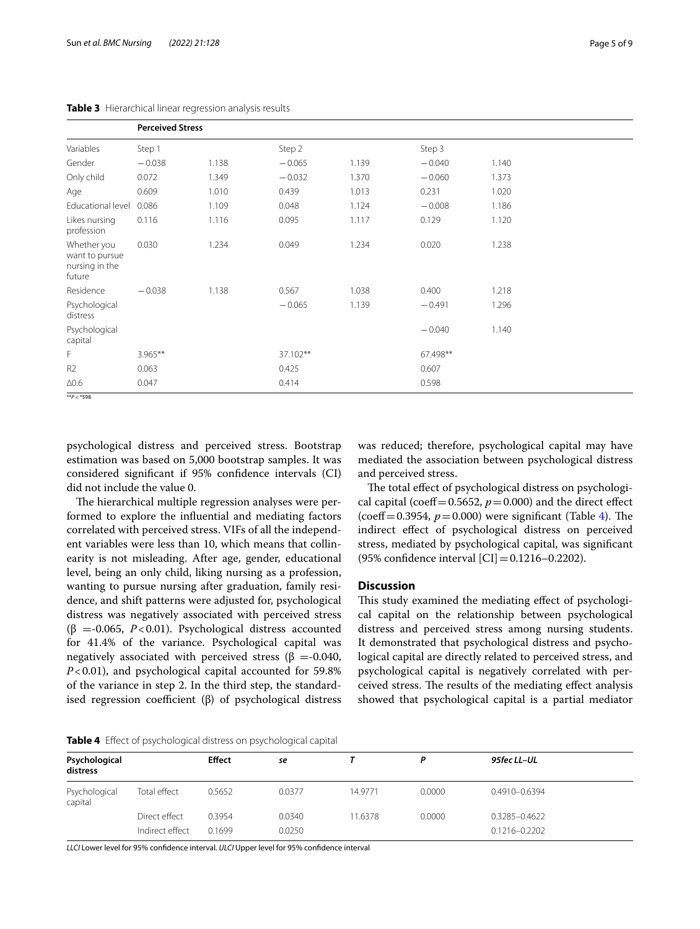<span id="page-4-0"></span>**Table 3** Hierarchical linear regression analysis results

|                                                           | <b>Perceived Stress</b> |       |          |       |          |       |  |
|-----------------------------------------------------------|-------------------------|-------|----------|-------|----------|-------|--|
| Variables                                                 | Step 1                  |       | Step 2   |       | Step 3   |       |  |
| Gender                                                    | $-0.038$                | 1.138 | $-0.065$ | 1.139 | $-0.040$ | 1.140 |  |
| Only child                                                | 0.072                   | 1.349 | $-0.032$ | 1.370 | $-0.060$ | 1.373 |  |
| Age                                                       | 0.609                   | 1.010 | 0.439    | 1.013 | 0.231    | 1.020 |  |
| Educational level                                         | 0.086                   | 1.109 | 0.048    | 1.124 | $-0.008$ | 1.186 |  |
| Likes nursing<br>profession                               | 0.116                   | 1.116 | 0.095    | 1.117 | 0.129    | 1.120 |  |
| Whether you<br>want to pursue<br>nursing in the<br>future | 0.030                   | 1.234 | 0.049    | 1.234 | 0.020    | 1.238 |  |
| Residence                                                 | $-0.038$                | 1.138 | 0.567    | 1.038 | 0.400    | 1.218 |  |
| Psychological<br>distress                                 |                         |       | $-0.065$ | 1.139 | $-0.491$ | 1.296 |  |
| Psychological<br>capital                                  |                         |       |          |       | $-0.040$ | 1.140 |  |
| F                                                         | $3.965***$              |       | 37.102** |       | 67.498** |       |  |
| R <sub>2</sub>                                            | 0.063                   |       | 0.425    |       | 0.607    |       |  |
| $\Delta 0.6$                                              | 0.047                   |       | 0.414    |       | 0.598    |       |  |
| $* p < * 598$                                             |                         |       |          |       |          |       |  |

psychological distress and perceived stress. Bootstrap estimation was based on 5,000 bootstrap samples. It was considered signifcant if 95% confdence intervals (CI) did not include the value 0.

The hierarchical multiple regression analyses were performed to explore the infuential and mediating factors correlated with perceived stress. VIFs of all the independent variables were less than 10, which means that collinearity is not misleading. After age, gender, educational level, being an only child, liking nursing as a profession, wanting to pursue nursing after graduation, family residence, and shift patterns were adjusted for, psychological distress was negatively associated with perceived stress ( $\beta$  =-0.065, *P*<0.01). Psychological distress accounted for 41.4% of the variance. Psychological capital was negatively associated with perceived stress ( $\beta$  =-0.040, *P*<0.01), and psychological capital accounted for 59.8% of the variance in step 2. In the third step, the standardised regression coefficient (β) of psychological distress was reduced; therefore, psychological capital may have mediated the association between psychological distress and perceived stress.

The total effect of psychological distress on psychological capital (coeff=0.5652,  $p=0.000$ ) and the direct effect (coeff=0.3954,  $p=0.000$ ) were significant (Table [4\)](#page-4-1). The indirect efect of psychological distress on perceived stress, mediated by psychological capital, was signifcant (95% confidence interval  $|CI|$  = 0.1216–0.2202).

## **Discussion**

This study examined the mediating effect of psychological capital on the relationship between psychological distress and perceived stress among nursing students. It demonstrated that psychological distress and psychological capital are directly related to perceived stress, and psychological capital is negatively correlated with perceived stress. The results of the mediating effect analysis showed that psychological capital is a partial mediator

<span id="page-4-1"></span>

|  |  | Table 4 Effect of psychological distress on psychological capital |  |  |  |  |
|--|--|-------------------------------------------------------------------|--|--|--|--|
|--|--|-------------------------------------------------------------------|--|--|--|--|

| Psychological<br>distress |                 | <b>Effect</b> | se     |         |        | 95fec LL-UL       |  |
|---------------------------|-----------------|---------------|--------|---------|--------|-------------------|--|
| Psychological<br>capital  | Total effect    | 0.5652        | 0.0377 | 14.9771 | 0.0000 | 0.4910-0.6394     |  |
|                           | Direct effect   | 0.3954        | 0.0340 | 11.6378 | 0.0000 | 0.3285-0.4622     |  |
|                           | Indirect effect | 0.1699        | 0.0250 |         |        | $0.1216 - 0.2202$ |  |

*LLCI* Lower level for 95% confdence interval*. ULCI* Upper level for 95% confdence interval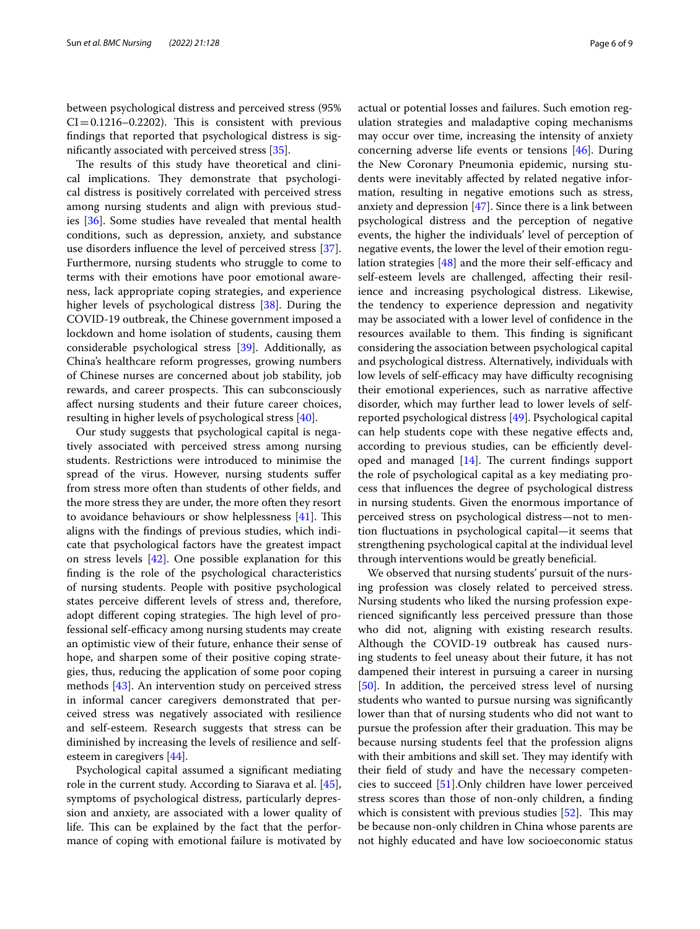between psychological distress and perceived stress (95%  $CI = 0.1216 - 0.2202$ . This is consistent with previous fndings that reported that psychological distress is signifcantly associated with perceived stress [\[35\]](#page-7-34).

The results of this study have theoretical and clinical implications. They demonstrate that psychological distress is positively correlated with perceived stress among nursing students and align with previous studies [[36](#page-7-35)]. Some studies have revealed that mental health conditions, such as depression, anxiety, and substance use disorders infuence the level of perceived stress [\[37](#page-7-36)]. Furthermore, nursing students who struggle to come to terms with their emotions have poor emotional awareness, lack appropriate coping strategies, and experience higher levels of psychological distress [\[38](#page-7-37)]. During the COVID-19 outbreak, the Chinese government imposed a lockdown and home isolation of students, causing them considerable psychological stress [[39](#page-7-38)]. Additionally, as China's healthcare reform progresses, growing numbers of Chinese nurses are concerned about job stability, job rewards, and career prospects. This can subconsciously afect nursing students and their future career choices, resulting in higher levels of psychological stress [\[40](#page-8-0)].

Our study suggests that psychological capital is negatively associated with perceived stress among nursing students. Restrictions were introduced to minimise the spread of the virus. However, nursing students sufer from stress more often than students of other felds, and the more stress they are under, the more often they resort to avoidance behaviours or show helplessness  $[41]$  $[41]$ . This aligns with the fndings of previous studies, which indicate that psychological factors have the greatest impact on stress levels [[42\]](#page-8-2). One possible explanation for this fnding is the role of the psychological characteristics of nursing students. People with positive psychological states perceive diferent levels of stress and, therefore, adopt different coping strategies. The high level of professional self-efficacy among nursing students may create an optimistic view of their future, enhance their sense of hope, and sharpen some of their positive coping strategies, thus, reducing the application of some poor coping methods [[43\]](#page-8-3). An intervention study on perceived stress in informal cancer caregivers demonstrated that perceived stress was negatively associated with resilience and self-esteem. Research suggests that stress can be diminished by increasing the levels of resilience and selfesteem in caregivers [[44\]](#page-8-4).

Psychological capital assumed a signifcant mediating role in the current study. According to Siarava et al. [\[45](#page-8-5)], symptoms of psychological distress, particularly depression and anxiety, are associated with a lower quality of life. This can be explained by the fact that the performance of coping with emotional failure is motivated by actual or potential losses and failures. Such emotion regulation strategies and maladaptive coping mechanisms may occur over time, increasing the intensity of anxiety concerning adverse life events or tensions [\[46\]](#page-8-6). During the New Coronary Pneumonia epidemic, nursing students were inevitably afected by related negative information, resulting in negative emotions such as stress, anxiety and depression [\[47](#page-8-7)]. Since there is a link between psychological distress and the perception of negative events, the higher the individuals' level of perception of negative events, the lower the level of their emotion regulation strategies  $[48]$  $[48]$  and the more their self-efficacy and self-esteem levels are challenged, afecting their resilience and increasing psychological distress. Likewise, the tendency to experience depression and negativity may be associated with a lower level of confdence in the resources available to them. This finding is significant considering the association between psychological capital and psychological distress. Alternatively, individuals with low levels of self-efficacy may have difficulty recognising their emotional experiences, such as narrative afective disorder, which may further lead to lower levels of selfreported psychological distress [\[49](#page-8-9)]. Psychological capital can help students cope with these negative efects and, according to previous studies, can be efficiently developed and managed  $[14]$  $[14]$ . The current findings support the role of psychological capital as a key mediating process that infuences the degree of psychological distress in nursing students. Given the enormous importance of perceived stress on psychological distress—not to mention fuctuations in psychological capital—it seems that strengthening psychological capital at the individual level through interventions would be greatly benefcial.

We observed that nursing students' pursuit of the nursing profession was closely related to perceived stress. Nursing students who liked the nursing profession experienced signifcantly less perceived pressure than those who did not, aligning with existing research results. Although the COVID-19 outbreak has caused nursing students to feel uneasy about their future, it has not dampened their interest in pursuing a career in nursing [[50\]](#page-8-10). In addition, the perceived stress level of nursing students who wanted to pursue nursing was signifcantly lower than that of nursing students who did not want to pursue the profession after their graduation. This may be because nursing students feel that the profession aligns with their ambitions and skill set. They may identify with their feld of study and have the necessary competencies to succeed [\[51](#page-8-11)].Only children have lower perceived stress scores than those of non-only children, a fnding which is consistent with previous studies  $[52]$ . This may be because non-only children in China whose parents are not highly educated and have low socioeconomic status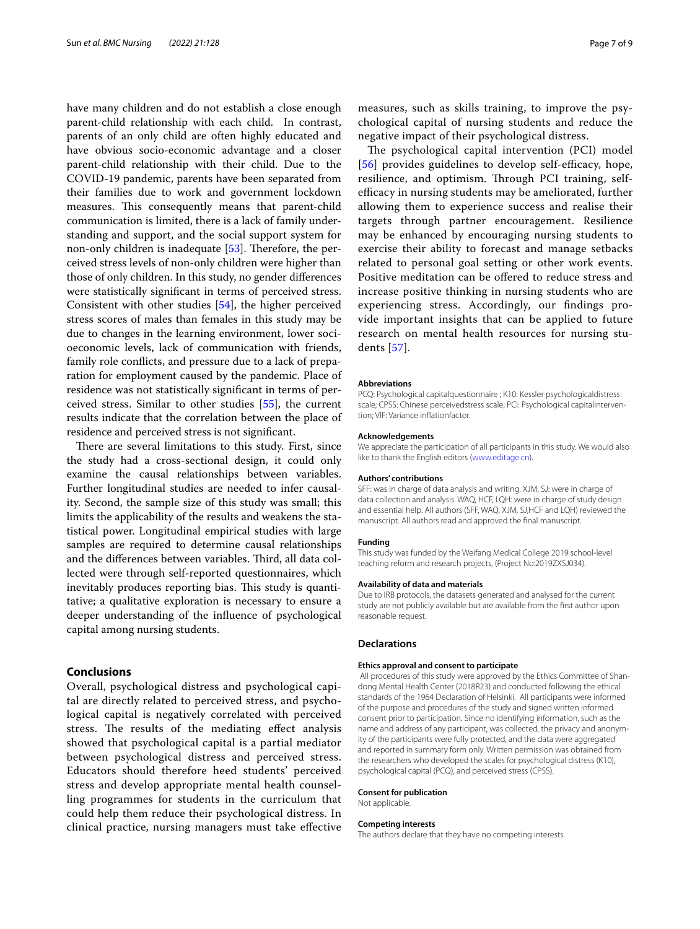have many children and do not establish a close enough parent-child relationship with each child. In contrast, parents of an only child are often highly educated and have obvious socio-economic advantage and a closer parent-child relationship with their child. Due to the COVID-19 pandemic, parents have been separated from their families due to work and government lockdown measures. This consequently means that parent-child communication is limited, there is a lack of family understanding and support, and the social support system for non-only children is inadequate  $[53]$  $[53]$ . Therefore, the perceived stress levels of non-only children were higher than those of only children. In this study, no gender diferences were statistically signifcant in terms of perceived stress. Consistent with other studies [\[54](#page-8-14)], the higher perceived stress scores of males than females in this study may be due to changes in the learning environment, lower socioeconomic levels, lack of communication with friends, family role conficts, and pressure due to a lack of preparation for employment caused by the pandemic. Place of residence was not statistically signifcant in terms of perceived stress. Similar to other studies [[55\]](#page-8-15), the current results indicate that the correlation between the place of residence and perceived stress is not signifcant.

There are several limitations to this study. First, since the study had a cross-sectional design, it could only examine the causal relationships between variables. Further longitudinal studies are needed to infer causality. Second, the sample size of this study was small; this limits the applicability of the results and weakens the statistical power. Longitudinal empirical studies with large samples are required to determine causal relationships and the differences between variables. Third, all data collected were through self-reported questionnaires, which inevitably produces reporting bias. This study is quantitative; a qualitative exploration is necessary to ensure a deeper understanding of the infuence of psychological capital among nursing students.

## **Conclusions**

Overall, psychological distress and psychological capital are directly related to perceived stress, and psychological capital is negatively correlated with perceived stress. The results of the mediating effect analysis showed that psychological capital is a partial mediator between psychological distress and perceived stress. Educators should therefore heed students' perceived stress and develop appropriate mental health counselling programmes for students in the curriculum that could help them reduce their psychological distress. In clinical practice, nursing managers must take efective

measures, such as skills training, to improve the psychological capital of nursing students and reduce the negative impact of their psychological distress.

The psychological capital intervention (PCI) model [[56](#page-8-16)] provides guidelines to develop self-efficacy, hope, resilience, and optimism. Through PCI training, selfefficacy in nursing students may be ameliorated, further allowing them to experience success and realise their targets through partner encouragement. Resilience may be enhanced by encouraging nursing students to exercise their ability to forecast and manage setbacks related to personal goal setting or other work events. Positive meditation can be ofered to reduce stress and increase positive thinking in nursing students who are experiencing stress. Accordingly, our fndings provide important insights that can be applied to future research on mental health resources for nursing students [\[57\]](#page-8-17).

#### **Abbreviations**

PCQ: Psychological capitalquestionnaire ; K10: Kessler psychologicaldistress scale; CPSS: Chinese perceivedstress scale; PCI: Psychological capitalintervention; VIF: Variance infationfactor.

#### **Acknowledgements**

We appreciate the participation of all participants in this study. We would also like to thank the English editors ([www.editage.cn\)](http://www.editage.cn).

#### **Authors' contributions**

SFF: was in charge of data analysis and writing. XJM, SJ: were in charge of data collection and analysis. WAQ, HCF, LQH: were in charge of study design and essential help. All authors (SFF, WAQ, XJM, SJ,HCF and LQH) reviewed the manuscript. All authors read and approved the fnal manuscript.

#### **Funding**

This study was funded by the Weifang Medical College 2019 school-level teaching reform and research projects, (Project No:2019ZXSJ034).

#### **Availability of data and materials**

Due to IRB protocols, the datasets generated and analysed for the current study are not publicly available but are available from the frst author upon reasonable request.

#### **Declarations**

#### **Ethics approval and consent to participate**

 All procedures of this study were approved by the Ethics Committee of Shandong Mental Health Center (2018R23) and conducted following the ethical standards of the 1964 Declaration of Helsinki. All participants were informed of the purpose and procedures of the study and signed written informed consent prior to participation. Since no identifying information, such as the name and address of any participant, was collected, the privacy and anonymity of the participants were fully protected, and the data were aggregated and reported in summary form only. Written permission was obtained from the researchers who developed the scales for psychological distress (K10), psychological capital (PCQ), and perceived stress (CPSS).

#### **Consent for publication**

Not applicable.

#### **Competing interests**

The authors declare that they have no competing interests.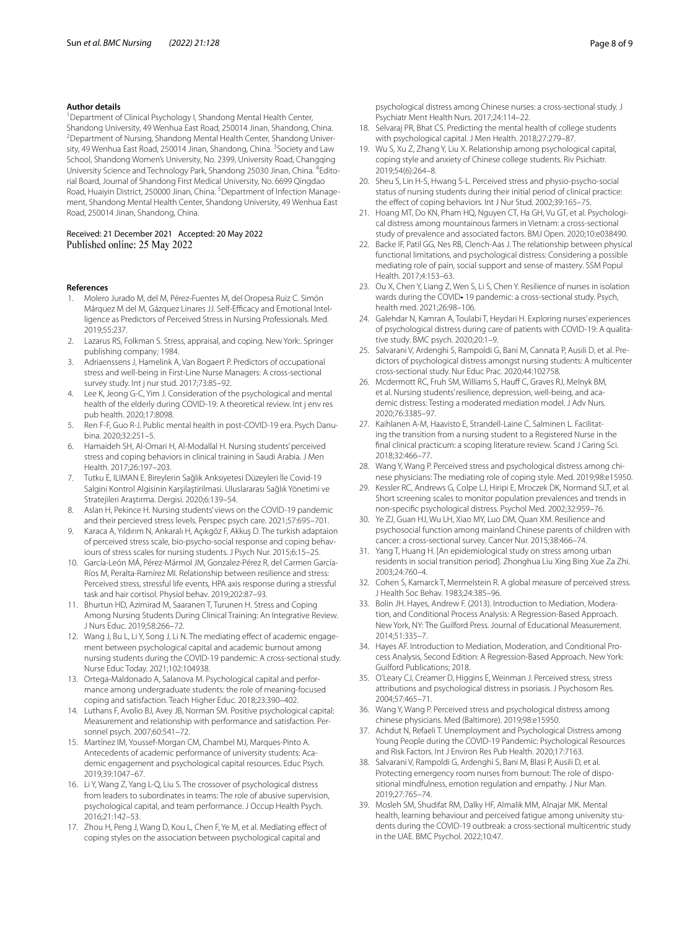#### **Author details**

<sup>1</sup> Department of Clinical Psychology I, Shandong Mental Health Center, Shandong University, 49 Wenhua East Road, 250014 Jinan, Shandong, China. 2 <sup>2</sup> Department of Nursing, Shandong Mental Health Center, Shandong University, 49 Wenhua East Road, 250014 Jinan, Shandong, China. <sup>3</sup> Society and Law School, Shandong Women's University, No. 2399, University Road, Changqing University Science and Technology Park, Shandong 25030 Jinan, China. <sup>4</sup>Editorial Board, Journal of Shandong First Medical University, No. 6699 Qingdao Road, Huaiyin District, 250000 Jinan, China. <sup>5</sup> Department of Infection Management, Shandong Mental Health Center, Shandong University, 49 Wenhua East Road, 250014 Jinan, Shandong, China.

# Received: 21 December 2021 Accepted: 20 May 2022

#### **References**

- <span id="page-7-0"></span>1. Molero Jurado M, del M, Pérez-Fuentes M, del Oropesa Ruiz C. Simón Márquez M del M, Gázquez Linares JJ. Self-Efficacy and Emotional Intelligence as Predictors of Perceived Stress in Nursing Professionals. Med. 2019;55:237.
- <span id="page-7-1"></span>2. Lazarus RS, Folkman S. Stress, appraisal, and coping. New York:. Springer publishing company; 1984.
- <span id="page-7-2"></span>3. Adriaenssens J, Hamelink A, Van Bogaert P. Predictors of occupational stress and well-being in First-Line Nurse Managers: A cross-sectional survey study. Int j nur stud. 2017;73:85–92.
- <span id="page-7-3"></span>4. Lee K, Jeong G-C, Yim J. Consideration of the psychological and mental health of the elderly during COVID-19: A theoretical review. Int j env res pub health. 2020;17:8098.
- <span id="page-7-4"></span>5. Ren F-F, Guo R-J. Public mental health in post-COVID-19 era. Psych Danubina. 2020;32:251–5.
- <span id="page-7-5"></span>6. Hamaideh SH, Al-Omari H, Al-Modallal H. Nursing students' perceived stress and coping behaviors in clinical training in Saudi Arabia. J Men Health. 2017;26:197–203.
- <span id="page-7-6"></span>7. Tutku E, ILIMAN E. Bireylerin Sağlik Anksiyetesi Düzeyleri İle Covid-19 Salgini Kontrol Algisinin Karşilaştirilmasi. Uluslararası Sağlık Yönetimi ve Stratejileri Araştırma. Dergisi. 2020;6:139–54.
- <span id="page-7-7"></span>8. Aslan H, Pekince H. Nursing students' views on the COVID-19 pandemic and their percieved stress levels. Perspec psych care. 2021;57:695–701.
- <span id="page-7-8"></span>9. Karaca A, Yıldırım N, Ankaralı H, Açıkgöz F, Akkuş D. The turkish adaptaion of perceived stress scale, bio-psycho-social response and coping behaviours of stress scales for nursing students. J Psych Nur. 2015;6:15–25.
- <span id="page-7-9"></span>10. García-León MÁ, Pérez-Mármol JM, Gonzalez-Pérez R, del Carmen García-Ríos M, Peralta-Ramírez MI. Relationship between resilience and stress: Perceived stress, stressful life events, HPA axis response during a stressful task and hair cortisol. Physiol behav. 2019;202:87–93.
- <span id="page-7-10"></span>11. Bhurtun HD, Azimirad M, Saaranen T, Turunen H. Stress and Coping Among Nursing Students During Clinical Training: An Integrative Review. J Nurs Educ. 2019;58:266–72.
- <span id="page-7-11"></span>12. Wang J, Bu L, Li Y, Song J, Li N. The mediating effect of academic engagement between psychological capital and academic burnout among nursing students during the COVID-19 pandemic: A cross-sectional study. Nurse Educ Today. 2021;102:104938.
- <span id="page-7-12"></span>13. Ortega-Maldonado A, Salanova M. Psychological capital and performance among undergraduate students: the role of meaning-focused coping and satisfaction. Teach Higher Educ. 2018;23:390–402.
- <span id="page-7-13"></span>14. Luthans F, Avolio BJ, Avey JB, Norman SM. Positive psychological capital: Measurement and relationship with performance and satisfaction. Personnel psych. 2007;60:541–72.
- <span id="page-7-14"></span>15. Martínez IM, Youssef-Morgan CM, Chambel MJ, Marques-Pinto A. Antecedents of academic performance of university students: Academic engagement and psychological capital resources. Educ Psych. 2019;39:1047–67.
- <span id="page-7-15"></span>16. Li Y, Wang Z, Yang L-Q, Liu S. The crossover of psychological distress from leaders to subordinates in teams: The role of abusive supervision, psychological capital, and team performance. J Occup Health Psych. 2016;21:142–53.
- <span id="page-7-16"></span>17. Zhou H, Peng J, Wang D, Kou L, Chen F, Ye M, et al. Mediating efect of coping styles on the association between psychological capital and

psychological distress among Chinese nurses: a cross-sectional study. J Psychiatr Ment Health Nurs. 2017;24:114–22.

- <span id="page-7-17"></span>18. Selvaraj PR, Bhat CS. Predicting the mental health of college students with psychological capital. J Men Health. 2018;27:279–87.
- <span id="page-7-18"></span>19. Wu S, Xu Z, Zhang Y, Liu X. Relationship among psychological capital, coping style and anxiety of Chinese college students. Riv Psichiatr. 2019;54(6):264–8.
- <span id="page-7-19"></span>20. Sheu S, Lin H-S, Hwang S-L. Perceived stress and physio-psycho-social status of nursing students during their initial period of clinical practice: the effect of coping behaviors. Int J Nur Stud. 2002;39:165-75.
- <span id="page-7-20"></span>21. Hoang MT, Do KN, Pham HQ, Nguyen CT, Ha GH, Vu GT, et al. Psychological distress among mountainous farmers in Vietnam: a cross-sectional study of prevalence and associated factors. BMJ Open. 2020;10:e038490.
- <span id="page-7-21"></span>22. Backe IF, Patil GG, Nes RB, Clench-Aas J. The relationship between physical functional limitations, and psychological distress: Considering a possible mediating role of pain, social support and sense of mastery. SSM Popul Health. 2017;4:153–63.
- <span id="page-7-22"></span>23. Ou X, Chen Y, Liang Z, Wen S, Li S, Chen Y. Resilience of nurses in isolation wards during the COVID-19 pandemic: a cross-sectional study. Psych, health med. 2021;26:98–106.
- <span id="page-7-23"></span>24. Galehdar N, Kamran A, Toulabi T, Heydari H. Exploring nurses' experiences of psychological distress during care of patients with COVID-19: A qualitative study. BMC psych. 2020;20:1–9.
- <span id="page-7-24"></span>25. Salvarani V, Ardenghi S, Rampoldi G, Bani M, Cannata P, Ausili D, et al. Predictors of psychological distress amongst nursing students: A multicenter cross-sectional study. Nur Educ Prac. 2020;44:102758.
- <span id="page-7-25"></span>26. Mcdermott RC, Fruh SM, Williams S, Hauff C, Graves RJ, Melnyk BM, et al. Nursing students' resilience, depression, well-being, and academic distress: Testing a moderated mediation model. J Adv Nurs. 2020;76:3385–97.
- <span id="page-7-26"></span>27. Kaihlanen A-M, Haavisto E, Strandell-Laine C, Salminen L. Facilitating the transition from a nursing student to a Registered Nurse in the fnal clinical practicum: a scoping literature review. Scand J Caring Sci. 2018;32:466–77.
- <span id="page-7-27"></span>28. Wang Y, Wang P. Perceived stress and psychological distress among chinese physicians: The mediating role of coping style. Med. 2019;98:e15950.
- <span id="page-7-28"></span>29. Kessler RC, Andrews G, Colpe LJ, Hiripi E, Mroczek DK, Normand SLT, et al. Short screening scales to monitor population prevalences and trends in non-specifc psychological distress. Psychol Med. 2002;32:959–76.
- <span id="page-7-29"></span>30. Ye ZJ, Guan HJ, Wu LH, Xiao MY, Luo DM, Quan XM. Resilience and psychosocial function among mainland Chinese parents of children with cancer: a cross-sectional survey. Cancer Nur. 2015;38:466–74.
- <span id="page-7-30"></span>31. Yang T, Huang H. [An epidemiological study on stress among urban residents in social transition period]. Zhonghua Liu Xing Bing Xue Za Zhi. 2003;24:760–4.
- <span id="page-7-31"></span>32. Cohen S, Kamarck T, Mermelstein R. A global measure of perceived stress. J Health Soc Behav. 1983;24:385–96.
- <span id="page-7-32"></span>33. Bolin JH. Hayes, Andrew F. (2013). Introduction to Mediation, Moderation, and Conditional Process Analysis: A Regression-Based Approach. New York, NY: The Guilford Press. Journal of Educational Measurement. 2014;51:335–7.
- <span id="page-7-33"></span>34. Hayes AF. Introduction to Mediation, Moderation, and Conditional Process Analysis, Second Edition: A Regression-Based Approach. New York: Guilford Publications; 2018.
- <span id="page-7-34"></span>35. O'Leary CJ, Creamer D, Higgins E, Weinman J. Perceived stress, stress attributions and psychological distress in psoriasis. J Psychosom Res. 2004;57:465–71.
- <span id="page-7-35"></span>36. Wang Y, Wang P. Perceived stress and psychological distress among chinese physicians. Med (Baltimore). 2019;98:e15950.
- <span id="page-7-36"></span>37. Achdut N, Refaeli T. Unemployment and Psychological Distress among Young People during the COVID-19 Pandemic: Psychological Resources and Risk Factors. Int J Environ Res Pub Health. 2020;17:7163.
- <span id="page-7-37"></span>38. Salvarani V, Rampoldi G, Ardenghi S, Bani M, Blasi P, Ausili D, et al. Protecting emergency room nurses from burnout: The role of dispositional mindfulness, emotion regulation and empathy. J Nur Man. 2019;27:765–74.
- <span id="page-7-38"></span>39. Mosleh SM, Shudifat RM, Dalky HF, Almalik MM, Alnajar MK. Mental health, learning behaviour and perceived fatigue among university students during the COVID-19 outbreak: a cross-sectional multicentric study in the UAE. BMC Psychol. 2022;10:47.